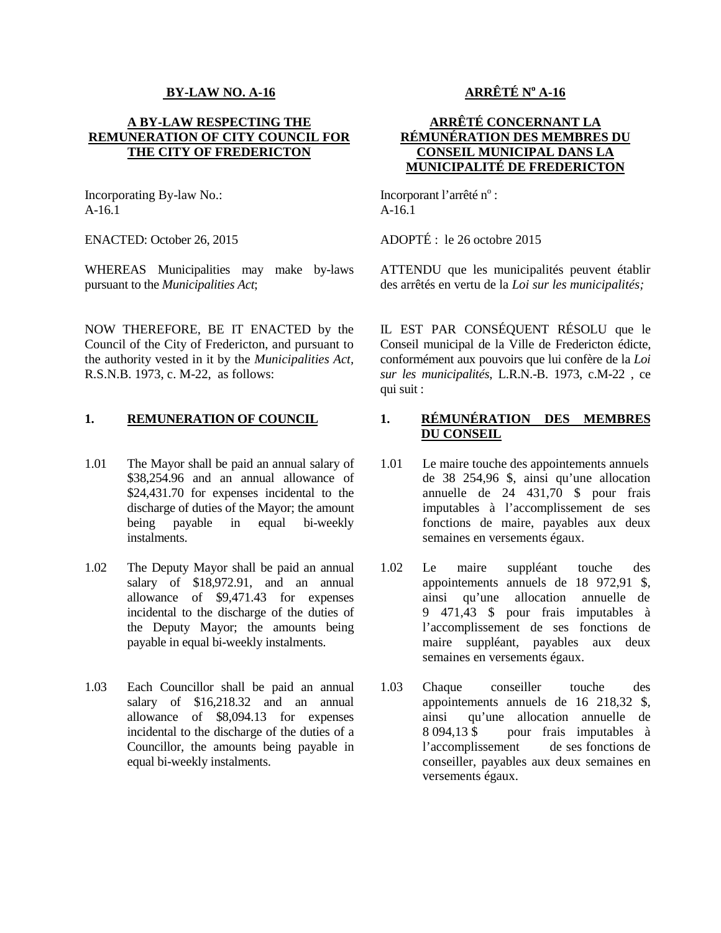#### **BY-LAW NO. A-16**

### **A BY-LAW RESPECTING THE REMUNERATION OF CITY COUNCIL FOR THE CITY OF FREDERICTON**

Incorporating By-law No.: A-16.1

ENACTED: October 26, 2015

WHEREAS Municipalities may make by-laws pursuant to the *Municipalities Act*;

NOW THEREFORE, BE IT ENACTED by the Council of the City of Fredericton, and pursuant to the authority vested in it by the *Municipalities Act,* R.S.N.B. 1973, c. M-22, as follows:

- 1.01 The Mayor shall be paid an annual salary of 1.01 \$38,254.96 and an annual allowance of \$24,431.70 for expenses incidental to the discharge of duties of the Mayor; the amount being payable in equal bi-weekly instalments.
- 1.02 The Deputy Mayor shall be paid an annual salary of \$18,972.91, and an annual allowance of \$9,471.43 for expenses incidental to the discharge of the duties of the Deputy Mayor; the amounts being payable in equal bi-weekly instalments.
- 1.03 Each Councillor shall be paid an annual salary of \$16,218.32 and an annual allowance of \$8,094.13 for expenses incidental to the discharge of the duties of a Councillor, the amounts being payable in equal bi-weekly instalments.

# **ARRÊTÉ N<sup>o</sup> A-16**

# **ARRÊTÉ CONCERNANT LA RÉMUNÉRATION DES MEMBRES DU CONSEIL MUNICIPAL DANS LA MUNICIPALITÉ DE FREDERICTON**

Incorporant l'arrêté n° : A-16.1

ADOPTÉ : le 26 octobre 2015

ATTENDU que les municipalités peuvent établir des arrêtés en vertu de la *Loi sur les municipalités;*

IL EST PAR CONSÉQUENT RÉSOLU que le Conseil municipal de la Ville de Fredericton édicte, conformément aux pouvoirs que lui confère de la *Loi sur les municipalités*, L.R.N.-B. 1973, c.M-22 , ce qui suit :

# **1. REMUNERATION OF COUNCIL 1. RÉMUNÉRATION DES MEMBRES DU CONSEIL**

- Le maire touche des appointements annuels de 38 254,96 \$, ainsi qu'une allocation annuelle de 24 431,70 \$ pour frais imputables à l'accomplissement de ses fonctions de maire, payables aux deux semaines en versements égaux.
- Le maire suppléant touche des appointements annuels de 18 972,91 \$, ainsi qu'une allocation annuelle de 9 471,43 \$ pour frais imputables à l'accomplissement de ses fonctions de maire suppléant, payables aux deux semaines en versements égaux.
- Chaque conseiller touche des appointements annuels de 16 218,32 \$, ainsi qu'une allocation annuelle de 8 094,13 \$ pour frais imputables à l'accomplissement de ses fonctions de conseiller, payables aux deux semaines en versements égaux.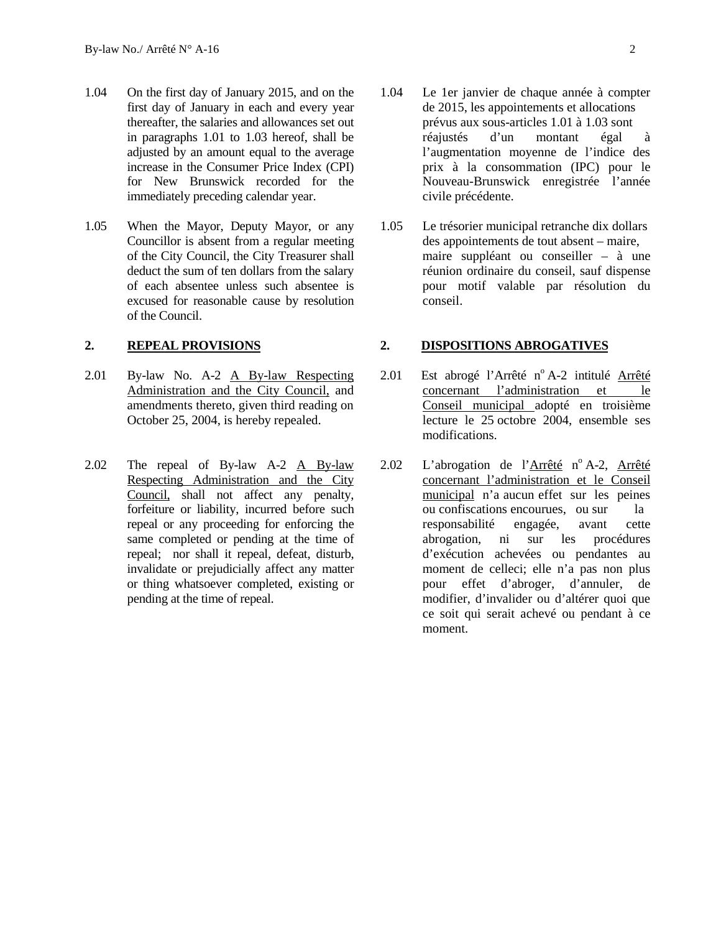- 1.04 On the first day of January 2015, and on the first day of January in each and every year thereafter, the salaries and allowances set out in paragraphs 1.01 to 1.03 hereof, shall be adjusted by an amount equal to the average increase in the Consumer Price Index (CPI) for New Brunswick recorded for the immediately preceding calendar year.
- 1.05 When the Mayor, Deputy Mayor, or any Councillor is absent from a regular meeting of the City Council, the City Treasurer shall deduct the sum of ten dollars from the salary of each absentee unless such absentee is excused for reasonable cause by resolution of the Council.

- 2.01 By-law No. A-2 A By-law Respecting Administration and the City Council, and amendments thereto, given third reading on October 25, 2004, is hereby repealed.
- 2.02 The repeal of By-law A-2 A By-law 2.02 Respecting Administration and the City Council, shall not affect any penalty, forfeiture or liability, incurred before such repeal or any proceeding for enforcing the same completed or pending at the time of repeal; nor shall it repeal, defeat, disturb, invalidate or prejudicially affect any matter or thing whatsoever completed, existing or pending at the time of repeal.
- Le 1er janvier de chaque année à compter de 2015, les appointements et allocations prévus aux sous-articles 1.01 à 1.03 sont réajustés d'un montant égal à l'augmentation moyenne de l'indice des prix à la consommation (IPC) pour le Nouveau-Brunswick enregistrée l'année civile précédente.
- Le trésorier municipal retranche dix dollars des appointements de tout absent – maire, maire suppléant ou conseiller – à une réunion ordinaire du conseil, sauf dispense pour motif valable par résolution du conseil.

### **2. REPEAL PROVISIONS 2. DISPOSITIONS ABROGATIVES**

- Est abrogé l'Arrêté n° A-2 intitulé Arrêté concernant l'administration et le Conseil municipal adopté en troisième lecture le 25 octobre 2004, ensemble ses modifications.
- 2.02 L'abrogation de l'Arrêté n° A-2, Arrêté concernant l'administration et le Conseil municipal n'a aucun effet sur les peines ou confiscations encourues, ou sur la responsabilité engagée, avant cette abrogation, ni sur les procédures d'exécution achevées ou pendantes au moment de celleci; elle n'a pas non plus pour effet d'abroger, d'annuler, de modifier, d'invalider ou d'altérer quoi que ce soit qui serait achevé ou pendant à ce moment.